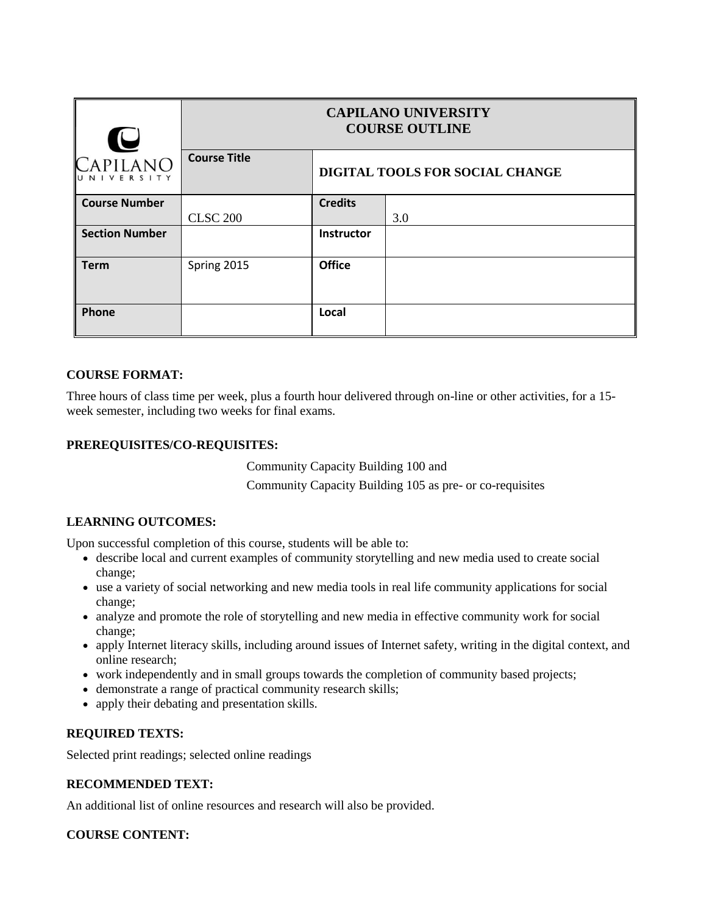| $\blacksquare$        | <b>CAPILANO UNIVERSITY</b><br><b>COURSE OUTLINE</b> |                                 |     |
|-----------------------|-----------------------------------------------------|---------------------------------|-----|
| CAPILANO<br>NIVERSITY | <b>Course Title</b>                                 | DIGITAL TOOLS FOR SOCIAL CHANGE |     |
| <b>Course Number</b>  |                                                     | <b>Credits</b>                  |     |
|                       | <b>CLSC 200</b>                                     |                                 | 3.0 |
| <b>Section Number</b> |                                                     | Instructor                      |     |
| <b>Term</b>           | Spring 2015                                         | <b>Office</b>                   |     |
| Phone                 |                                                     | Local                           |     |

# **COURSE FORMAT:**

Three hours of class time per week, plus a fourth hour delivered through on-line or other activities, for a 15 week semester, including two weeks for final exams.

### **PREREQUISITES/CO-REQUISITES:**

Community Capacity Building 100 and

Community Capacity Building 105 as pre- or co-requisites

# **LEARNING OUTCOMES:**

Upon successful completion of this course, students will be able to:

- describe local and current examples of community storytelling and new media used to create social change;
- use a variety of social networking and new media tools in real life community applications for social change;
- analyze and promote the role of storytelling and new media in effective community work for social change;
- apply Internet literacy skills, including around issues of Internet safety, writing in the digital context, and online research;
- work independently and in small groups towards the completion of community based projects;
- demonstrate a range of practical community research skills;
- apply their debating and presentation skills.

### **REQUIRED TEXTS:**

Selected print readings; selected online readings

### **RECOMMENDED TEXT:**

An additional list of online resources and research will also be provided.

### **COURSE CONTENT:**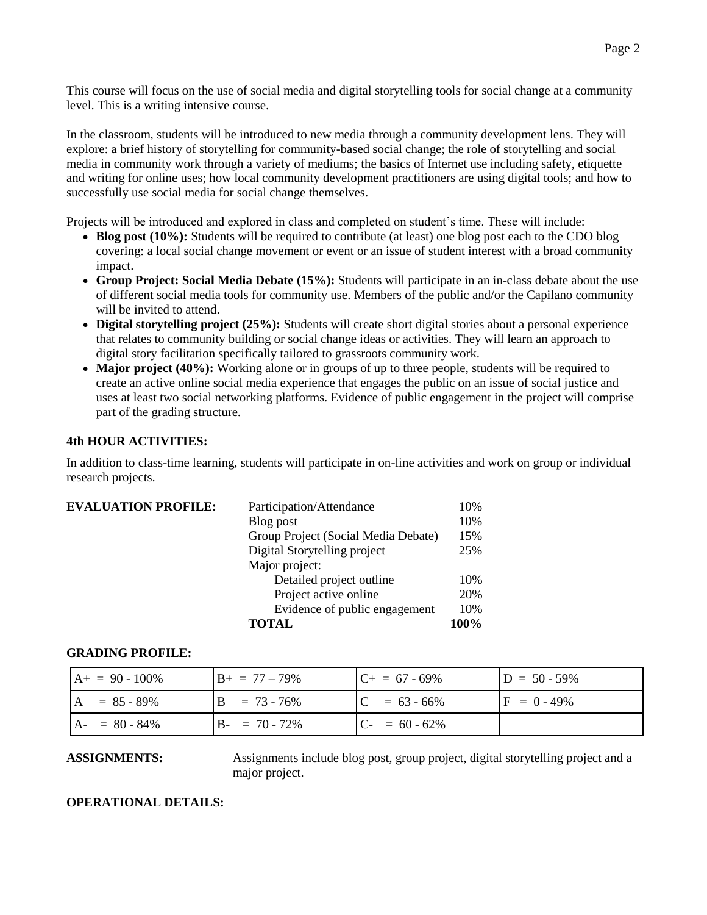This course will focus on the use of social media and digital storytelling tools for social change at a community level. This is a writing intensive course.

In the classroom, students will be introduced to new media through a community development lens. They will explore: a brief history of storytelling for community-based social change; the role of storytelling and social media in community work through a variety of mediums; the basics of Internet use including safety, etiquette and writing for online uses; how local community development practitioners are using digital tools; and how to successfully use social media for social change themselves.

Projects will be introduced and explored in class and completed on student's time. These will include:

- **Blog post (10%):** Students will be required to contribute (at least) one blog post each to the CDO blog covering: a local social change movement or event or an issue of student interest with a broad community impact.
- **Group Project: Social Media Debate (15%):** Students will participate in an in-class debate about the use of different social media tools for community use. Members of the public and/or the Capilano community will be invited to attend.
- **Digital storytelling project (25%):** Students will create short digital stories about a personal experience that relates to community building or social change ideas or activities. They will learn an approach to digital story facilitation specifically tailored to grassroots community work.
- Major project (40%): Working alone or in groups of up to three people, students will be required to create an active online social media experience that engages the public on an issue of social justice and uses at least two social networking platforms. Evidence of public engagement in the project will comprise part of the grading structure.

### **4th HOUR ACTIVITIES:**

In addition to class-time learning, students will participate in on-line activities and work on group or individual research projects.

| <b>EVALUATION PROFILE:</b> | Participation/Attendance            | 10%  |
|----------------------------|-------------------------------------|------|
|                            | Blog post                           | 10%  |
|                            | Group Project (Social Media Debate) | 15%  |
|                            | Digital Storytelling project        | 25%  |
|                            | Major project:                      |      |
|                            | Detailed project outline            | 10%  |
|                            | Project active online               | 20%  |
|                            | Evidence of public engagement       | 10%  |
|                            | TAL.                                | 100% |

### **GRADING PROFILE:**

| $A+ = 90 - 100\%$       | $B_+ = 77 - 79\%$   | $C_{+} = 67 - 69\%$ | $ID = 50 - 59\%$ |
|-------------------------|---------------------|---------------------|------------------|
| $A = 85 - 89\%$         | $= 73 - 76\%$<br>B. | $C = 63 - 66\%$     | $IF = 0 - 49\%$  |
| $= 80 - 84\%$<br>$AA$ - | $B - = 70 - 72\%$   | $C_{-} = 60 - 62\%$ |                  |

**ASSIGNMENTS:** Assignments include blog post, group project, digital storytelling project and a major project.

#### **OPERATIONAL DETAILS:**